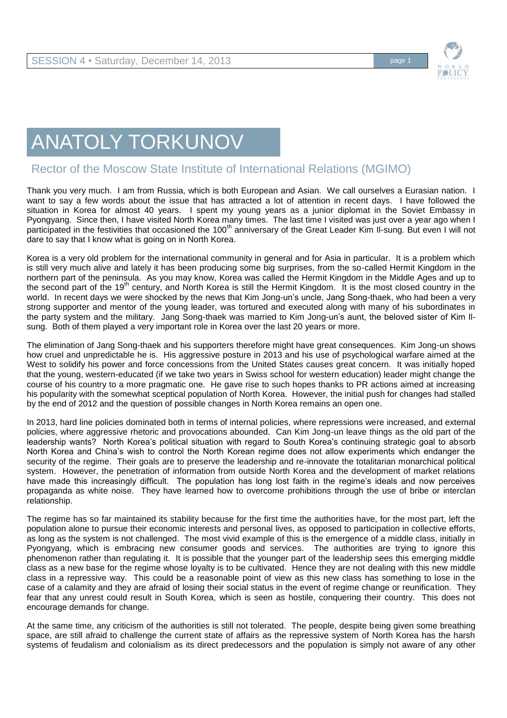

## ANATOLY TORKUNOV

## Rector of the Moscow State Institute of International Relations (MGIMO)

Thank you very much. I am from Russia, which is both European and Asian. We call ourselves a Eurasian nation. I want to say a few words about the issue that has attracted a lot of attention in recent days. I have followed the situation in Korea for almost 40 years. I spent my young years as a junior diplomat in the Soviet Embassy in Pyongyang. Since then, I have visited North Korea many times. The last time I visited was just over a year ago when I participated in the festivities that occasioned the 100<sup>th</sup> anniversary of the Great Leader Kim Il-sung. But even I will not dare to say that I know what is going on in North Korea.

Korea is a very old problem for the international community in general and for Asia in particular. It is a problem which is still very much alive and lately it has been producing some big surprises, from the so-called Hermit Kingdom in the northern part of the peninsula. As you may know, Korea was called the Hermit Kingdom in the Middle Ages and up to the second part of the 19<sup>th</sup> century, and North Korea is still the Hermit Kingdom. It is the most closed country in the world. In recent days we were shocked by the news that Kim Jong-un's uncle, Jang Song-thaek, who had been a very strong supporter and mentor of the young leader, was tortured and executed along with many of his subordinates in the party system and the military. Jang Song-thaek was married to Kim Jong-un's aunt, the beloved sister of Kim Ilsung. Both of them played a very important role in Korea over the last 20 years or more.

The elimination of Jang Song-thaek and his supporters therefore might have great consequences. Kim Jong-un shows how cruel and unpredictable he is. His aggressive posture in 2013 and his use of psychological warfare aimed at the West to solidify his power and force concessions from the United States causes great concern. It was initially hoped that the young, western-educated (if we take two years in Swiss school for western education) leader might change the course of his country to a more pragmatic one. He gave rise to such hopes thanks to PR actions aimed at increasing his popularity with the somewhat sceptical population of North Korea. However, the initial push for changes had stalled by the end of 2012 and the question of possible changes in North Korea remains an open one.

In 2013, hard line policies dominated both in terms of internal policies, where repressions were increased, and external policies, where aggressive rhetoric and provocations abounded. Can Kim Jong-un leave things as the old part of the leadership wants? North Korea's political situation with regard to South Korea's continuing strategic goal to absorb North Korea and China's wish to control the North Korean regime does not allow experiments which endanger the security of the regime. Their goals are to preserve the leadership and re-innovate the totalitarian monarchical political system. However, the penetration of information from outside North Korea and the development of market relations have made this increasingly difficult. The population has long lost faith in the regime's ideals and now perceives propaganda as white noise. They have learned how to overcome prohibitions through the use of bribe or interclan relationship.

The regime has so far maintained its stability because for the first time the authorities have, for the most part, left the population alone to pursue their economic interests and personal lives, as opposed to participation in collective efforts, as long as the system is not challenged. The most vivid example of this is the emergence of a middle class, initially in Pyongyang, which is embracing new consumer goods and services. The authorities are trying to ignore this phenomenon rather than regulating it. It is possible that the younger part of the leadership sees this emerging middle class as a new base for the regime whose loyalty is to be cultivated. Hence they are not dealing with this new middle class in a repressive way. This could be a reasonable point of view as this new class has something to lose in the case of a calamity and they are afraid of losing their social status in the event of regime change or reunification. They fear that any unrest could result in South Korea, which is seen as hostile, conquering their country. This does not encourage demands for change.

At the same time, any criticism of the authorities is still not tolerated. The people, despite being given some breathing space, are still afraid to challenge the current state of affairs as the repressive system of North Korea has the harsh systems of feudalism and colonialism as its direct predecessors and the population is simply not aware of any other